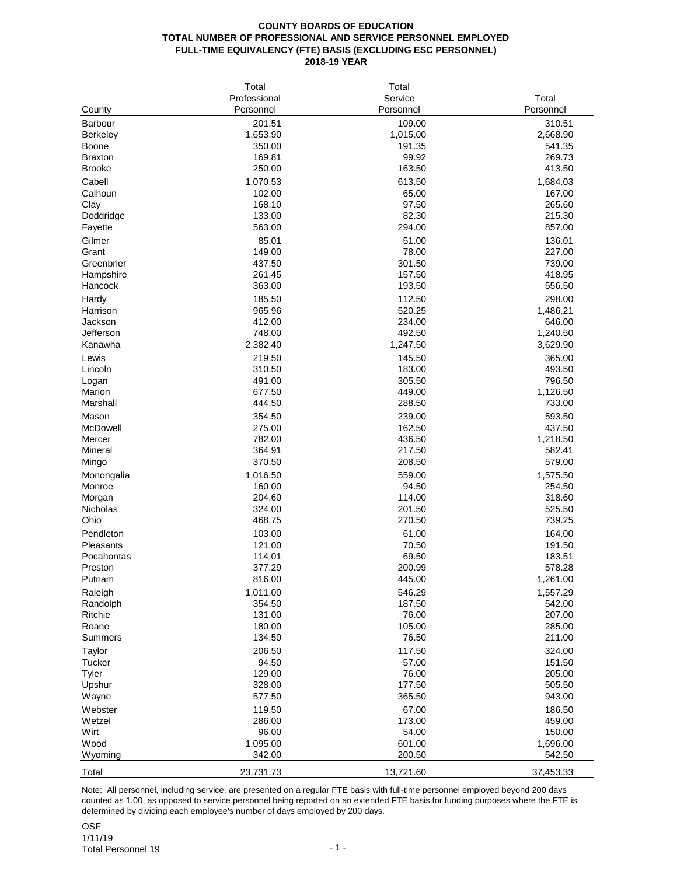## **COUNTY BOARDS OF EDUCATION TOTAL NUMBER OF PROFESSIONAL AND SERVICE PERSONNEL EMPLOYED FULL-TIME EQUIVALENCY (FTE) BASIS (EXCLUDING ESC PERSONNEL) 2018-19 YEAR**

|                     | Total        | Total     |                  |
|---------------------|--------------|-----------|------------------|
|                     | Professional | Service   | Total            |
| County              | Personnel    | Personnel | Personnel        |
| Barbour             | 201.51       | 109.00    | 310.51           |
| Berkeley            | 1,653.90     | 1,015.00  | 2,668.90         |
| Boone               | 350.00       | 191.35    | 541.35           |
| <b>Braxton</b>      | 169.81       | 99.92     | 269.73           |
| <b>Brooke</b>       | 250.00       | 163.50    | 413.50           |
|                     |              |           |                  |
| Cabell              | 1,070.53     | 613.50    | 1,684.03         |
| Calhoun             | 102.00       | 65.00     | 167.00           |
| Clay                | 168.10       | 97.50     | 265.60           |
| Doddridge           | 133.00       | 82.30     | 215.30           |
| Fayette             | 563.00       | 294.00    | 857.00           |
| Gilmer              | 85.01        | 51.00     | 136.01           |
| Grant               | 149.00       | 78.00     | 227.00           |
| Greenbrier          | 437.50       | 301.50    | 739.00           |
| Hampshire           | 261.45       | 157.50    | 418.95           |
| Hancock             | 363.00       | 193.50    | 556.50           |
| Hardy               | 185.50       | 112.50    | 298.00           |
| Harrison            | 965.96       | 520.25    | 1,486.21         |
| Jackson             | 412.00       | 234.00    | 646.00           |
| Jefferson           | 748.00       | 492.50    | 1,240.50         |
| Kanawha             | 2,382.40     | 1,247.50  | 3,629.90         |
|                     |              |           |                  |
| Lewis               | 219.50       | 145.50    | 365.00<br>493.50 |
| Lincoln             | 310.50       | 183.00    |                  |
| Logan               | 491.00       | 305.50    | 796.50           |
| Marion              | 677.50       | 449.00    | 1,126.50         |
| Marshall            | 444.50       | 288.50    | 733.00           |
| Mason               | 354.50       | 239.00    | 593.50           |
| McDowell            | 275.00       | 162.50    | 437.50           |
| Mercer              | 782.00       | 436.50    | 1,218.50         |
| Mineral             | 364.91       | 217.50    | 582.41           |
| Mingo               | 370.50       | 208.50    | 579.00           |
| Monongalia          | 1,016.50     | 559.00    | 1,575.50         |
| Monroe              | 160.00       | 94.50     | 254.50           |
| Morgan              | 204.60       | 114.00    | 318.60           |
| Nicholas            | 324.00       | 201.50    | 525.50           |
| Ohio                | 468.75       | 270.50    | 739.25           |
| Pendleton           | 103.00       | 61.00     | 164.00           |
| Pleasants           | 121.00       | 70.50     | 191.50           |
| Pocahontas          | 114.01       | 69.50     | 183.51           |
| Preston             | 377.29       | 200.99    | 578.28           |
| Putnam              | 816.00       | 445.00    | 1,261.00         |
| Raleigh             |              |           |                  |
|                     | 1,011.00     | 546.29    | 1,557.29         |
| Randolph<br>Ritchie | 354.50       | 187.50    | 542.00           |
|                     | 131.00       | 76.00     | 207.00           |
| Roane               | 180.00       | 105.00    | 285.00           |
| Summers             | 134.50       | 76.50     | 211.00           |
| Taylor              | 206.50       | 117.50    | 324.00           |
| Tucker              | 94.50        | 57.00     | 151.50           |
| Tyler               | 129.00       | 76.00     | 205.00           |
| Upshur              | 328.00       | 177.50    | 505.50           |
| Wayne               | 577.50       | 365.50    | 943.00           |
| Webster             | 119.50       | 67.00     | 186.50           |
| Wetzel              | 286.00       | 173.00    | 459.00           |
| Wirt                | 96.00        | 54.00     | 150.00           |
| Wood                | 1,095.00     | 601.00    | 1,696.00         |
| Wyoming             | 342.00       | 200.50    | 542.50           |
|                     |              |           |                  |
| Total               | 23,731.73    | 13,721.60 | 37,453.33        |

Note: All personnel, including service, are presented on a regular FTE basis with full-time personnel employed beyond 200 days counted as 1.00, as opposed to service personnel being reported on an extended FTE basis for funding purposes where the FTE is determined by dividing each employee's number of days employed by 200 days.